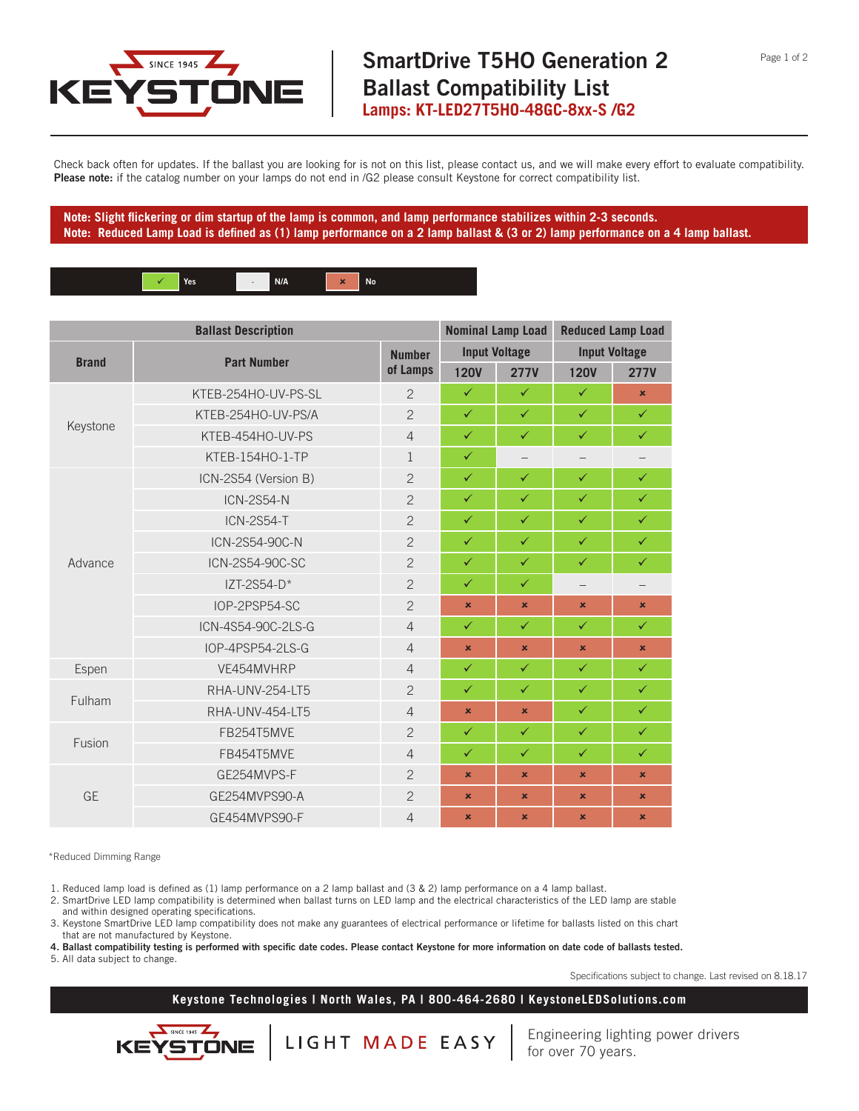

Check back often for updates. If the ballast you are looking for is not on this list, please contact us, and we will make every effort to evaluate compatibility. **Please note:** if the catalog number on your lamps do not end in /G2 please consult Keystone for correct compatibility list.

**Note: Slight flickering or dim startup of the lamp is common, and lamp performance stabilizes within 2-3 seconds. Note: Reduced Lamp Load is defined as (1) lamp performance on a 2 lamp ballast & (3 or 2) lamp performance on a 4 lamp ballast.**



| <b>Ballast Description</b> |                      | <b>Nominal Lamp Load</b>  |                      | <b>Reduced Lamp Load</b> |                      |                |
|----------------------------|----------------------|---------------------------|----------------------|--------------------------|----------------------|----------------|
| <b>Brand</b>               | <b>Part Number</b>   | <b>Number</b><br>of Lamps | <b>Input Voltage</b> |                          | <b>Input Voltage</b> |                |
|                            |                      |                           | <b>120V</b>          | <b>277V</b>              | <b>120V</b>          | <b>277V</b>    |
| Keystone                   | KTEB-254HO-UV-PS-SL  | $\overline{2}$            | $\checkmark$         | $\checkmark$             | $\checkmark$         | $\pmb{\times}$ |
|                            | KTEB-254HO-UV-PS/A   | $\overline{2}$            | $\checkmark$         | $\checkmark$             | $\checkmark$         | $\checkmark$   |
|                            | KTEB-454HO-UV-PS     | $\overline{4}$            | $\checkmark$         | $\checkmark$             | $\checkmark$         | $\checkmark$   |
|                            | KTEB-154HO-1-TP      | $\mathbf{1}$              | $\checkmark$         | $\qquad \qquad -$        |                      |                |
| Advance                    | ICN-2S54 (Version B) | $\overline{2}$            | $\checkmark$         | $\checkmark$             | $\checkmark$         | $\checkmark$   |
|                            | <b>ICN-2S54-N</b>    | $\overline{2}$            | $\checkmark$         | $\checkmark$             | $\checkmark$         | $\checkmark$   |
|                            | <b>ICN-2S54-T</b>    | $\overline{2}$            | $\checkmark$         | $\checkmark$             | $\checkmark$         | $\checkmark$   |
|                            | ICN-2S54-90C-N       | $\overline{2}$            | $\checkmark$         | $\checkmark$             | $\checkmark$         | $\checkmark$   |
|                            | ICN-2S54-90C-SC      | $\overline{2}$            | $\checkmark$         | $\checkmark$             | $\checkmark$         | $\checkmark$   |
|                            | $IZT-2S54-D*$        | $\overline{2}$            | $\checkmark$         | $\checkmark$             |                      |                |
|                            | IOP-2PSP54-SC        | $\overline{c}$            | $\mathbf x$          | ×                        | $\mathbf x$          | $\pmb{\times}$ |
|                            | ICN-4S54-90C-2LS-G   | $\overline{4}$            | $\checkmark$         | $\checkmark$             | $\checkmark$         | $\checkmark$   |
|                            | IOP-4PSP54-2LS-G     | $\overline{4}$            | $\pmb{\times}$       | $\pmb{\times}$           | $\mathbf x$          | $\pmb{\times}$ |
| Espen                      | VE454MVHRP           | $\overline{4}$            | $\checkmark$         | $\checkmark$             | $\checkmark$         | $\checkmark$   |
| Fulham                     | RHA-UNV-254-LT5      | $\overline{2}$            | $\checkmark$         | $\checkmark$             | $\checkmark$         | $\checkmark$   |
|                            | RHA-UNV-454-LT5      | $\overline{4}$            | $\pmb{\times}$       | ×                        | $\checkmark$         | $\checkmark$   |
| Fusion                     | FB254T5MVE           | $\overline{c}$            | $\checkmark$         | $\checkmark$             | $\checkmark$         | $\checkmark$   |
|                            | FB454T5MVE           | $\overline{4}$            | $\checkmark$         | $\checkmark$             | $\checkmark$         | $\checkmark$   |
| <b>GE</b>                  | GE254MVPS-F          | $\overline{c}$            | $\mathbf x$          | ×.                       | ×                    | $\mathbf x$    |
|                            | GE254MVPS90-A        | $\overline{2}$            | $\pmb{\times}$       | $\pmb{\times}$           | ×                    | $\pmb{\times}$ |
|                            | GE454MVPS90-F        | $\overline{4}$            | $\pmb{\times}$       | ×                        | $\mathbf x$          | $\pmb{\times}$ |

\*Reduced Dimming Range

1. Reduced lamp load is defined as (1) lamp performance on a 2 lamp ballast and (3 & 2) lamp performance on a 4 lamp ballast.

2. SmartDrive LED lamp compatibility is determined when ballast turns on LED lamp and the electrical characteristics of the LED lamp are stable and within designed operating specifications.

3. Keystone SmartDrive LED lamp compatibility does not make any guarantees of electrical performance or lifetime for ballasts listed on this chart that are not manufactured by Keystone.

**4. Ballast compatibility testing is performed with specific date codes. Please contact Keystone for more information on date code of ballasts tested.**

5. All data subject to change.

KE

STONE

Specifications subject to change. Last revised on 8.18.17

## **Keystone Technologies | North Wales, PA | 800-464-2680 | KeystoneLEDSolutions.com**